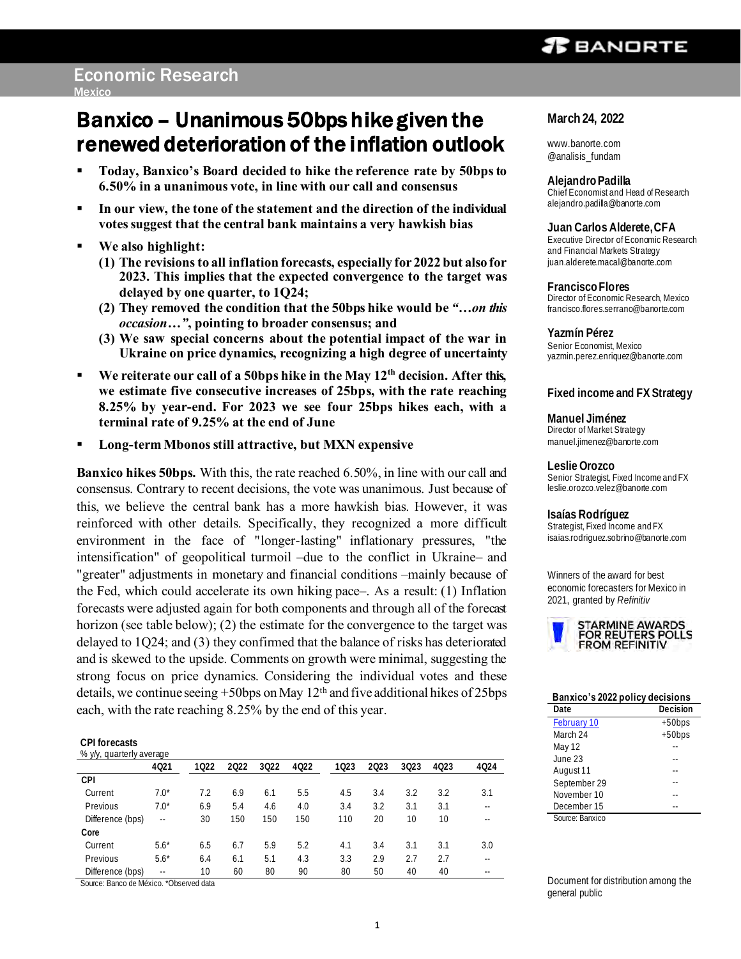# **T** BANDRTE

# Banxico – Unanimous 50bps hike given the renewed deterioration of the inflation outlook

- **Today, Banxico's Board decided to hike the reference rate by 50bps to 6.50% in a unanimous vote, in line with our call and consensus**
- **In our view, the tone of the statement and the direction of the individual votes suggest that the central bank maintains a very hawkish bias**
- **We also highlight:** 
	- **(1) The revisions to all inflation forecasts, especially for 2022 but also for 2023. This implies that the expected convergence to the target was delayed by one quarter, to 1Q24;**
	- **(2) They removed the condition that the 50bps hike would be** *"…on this occasion…"***, pointing to broader consensus; and**
	- **(3) We saw special concerns about the potential impact of the war in Ukraine on price dynamics, recognizing a high degree of uncertainty**
- **We reiterate our call of a 50bps hike in the May 12th decision. After this, we estimate five consecutive increases of 25bps, with the rate reaching 8.25% by year-end. For 2023 we see four 25bps hikes each, with a terminal rate of 9.25% at the end of June**
- **Long-term Mbonos still attractive, but MXN expensive**

**Banxico hikes 50bps.** With this, the rate reached 6.50%, in line with our call and consensus. Contrary to recent decisions, the vote was unanimous. Just because of this, we believe the central bank has a more hawkish bias. However, it was reinforced with other details. Specifically, they recognized a more difficult environment in the face of "longer-lasting" inflationary pressures, "the intensification" of geopolitical turmoil –due to the conflict in Ukraine– and "greater" adjustments in monetary and financial conditions –mainly because of the Fed, which could accelerate its own hiking pace–. As a result: (1) Inflation forecasts were adjusted again for both components and through all of the forecast horizon (see table below); (2) the estimate for the convergence to the target was delayed to 1Q24; and (3) they confirmed that the balance of risks has deteriorated and is skewed to the upside. Comments on growth were minimal, suggesting the strong focus on price dynamics. Considering the individual votes and these details, we continue seeing +50bps on May 12th and five additional hikes of 25bps each, with the rate reaching 8.25% by the end of this year.

**CPI forecasts**

| % v/y, quarterly average |               |      |      |      |      |      |      |      |      |      |
|--------------------------|---------------|------|------|------|------|------|------|------|------|------|
|                          | 4021          | 1022 | 2022 | 3022 | 4022 | 1023 | 2023 | 3023 | 4023 | 4024 |
| CPI                      |               |      |      |      |      |      |      |      |      |      |
| Current                  | $7.0*$        | 7.2  | 6.9  | 6.1  | 5.5  | 4.5  | 3.4  | 3.2  | 3.2  | 3.1  |
| Previous                 | $7.0*$        | 6.9  | 5.4  | 4.6  | 4.0  | 3.4  | 3.2  | 3.1  | 3.1  |      |
| Difference (bps)         | $\sim$ $\sim$ | 30   | 150  | 150  | 150  | 110  | 20   | 10   | 10   |      |
| Core                     |               |      |      |      |      |      |      |      |      |      |
| Current                  | $5.6*$        | 6.5  | 6.7  | 5.9  | 5.2  | 4.1  | 3.4  | 3.1  | 3.1  | 3.0  |
| Previous                 | $5.6*$        | 6.4  | 6.1  | 5.1  | 4.3  | 3.3  | 2.9  | 2.7  | 2.7  |      |
| Difference (bps)         | $-1$          | 10   | 60   | 80   | 90   | 80   | 50   | 40   | 40   |      |
|                          |               |      |      |      |      |      |      |      |      |      |

Source: Banco de México. \*Observed data

## **March 24, 2022**

www.banorte.com @analisis\_fundam

**Alejandro Padilla** Chief Economist and Head of Research alejandro.padilla@banorte.com

**Juan Carlos Alderete, CFA** Executive Director of Economic Research and Financial Markets Strategy juan.alderete.macal@banorte.com

**Francisco Flores** Director of Economic Research, Mexico francisco.flores.serrano@banorte.com

**Yazmín Pérez** Senior Economist, Mexico yazmin.perez.enriquez@banorte.com

## **Fixed income and FX Strategy**

**Manuel Jiménez** Director of Market Strategy manuel.jimenez@banorte.com

**Leslie Orozco**  Senior Strategist, Fixed Income and FX [leslie.orozco.velez@banorte.com](mailto:leslie.orozco.velez@banorte.com)

**Isaías Rodríguez** Strategist, Fixed Income and FX [isaias.rodriguez.sobrino@banorte.com](mailto:isaias.rodriguez.sobrino@banorte.com)

Winners of the award for best economic forecasters for Mexico in 2021, granted by *Refinitiv*



## **Banxico's 2022 policy decisions**

| Date            | Decision |
|-----------------|----------|
| February 10     | $+50bps$ |
| March 24        | $+50bps$ |
| May 12          |          |
| June 23         |          |
| August 11       |          |
| September 29    |          |
| November 10     |          |
| December 15     |          |
| Source: Banxico |          |

Document for distribution among the general public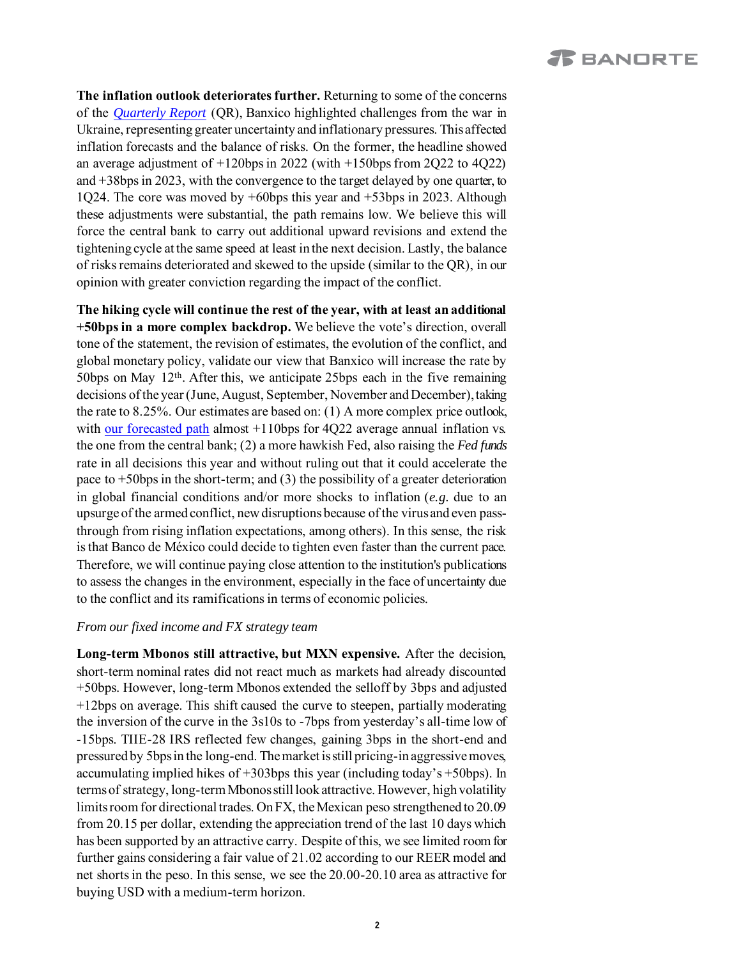**The inflation outlook deteriorates further.** Returning to some of the concerns of the *[Quarterly Report](https://www.banorte.com/cms/casadebolsabanorteixe/analisisyestrategia/analisiseconomico/mexico/20220203_QR_Banxico_4Q21.pdf)* (QR), Banxico highlighted challenges from the war in Ukraine, representing greater uncertainty and inflationary pressures. This affected inflation forecasts and the balance of risks. On the former, the headline showed an average adjustment of +120bps in 2022 (with +150bps from 2Q22 to 4Q22) and +38bps in 2023, with the convergence to the target delayed by one quarter, to 1Q24. The core was moved by +60bps this year and +53bps in 2023. Although these adjustments were substantial, the path remains low. We believe this will force the central bank to carry out additional upward revisions and extend the tightening cycle at the same speed at least in the next decision. Lastly, the balance of risks remains deteriorated and skewed to the upside (similar to the QR), in our opinion with greater conviction regarding the impact of the conflict.

**The hiking cycle will continue the rest of the year, with at least an additional +50bps in a more complex backdrop.** We believe the vote's direction, overall tone of the statement, the revision of estimates, the evolution of the conflict, and global monetary policy, validate our view that Banxico will increase the rate by 50bps on May  $12<sup>th</sup>$ . After this, we anticipate 25bps each in the five remaining decisions of the year (June, August, September, November and December), taking the rate to 8.25%. Our estimates are based on: (1) A more complex price outlook, with [our forecasted](https://www.banorte.com/cms/casadebolsabanorteixe/analisisyestrategia/analisiseconomico/mexico/20220322_Inflation_67.pdf) path almost +110bps for 4Q22 average annual inflation vs. the one from the central bank; (2) a more hawkish Fed, also raising the *Fed funds* rate in all decisions this year and without ruling out that it could accelerate the pace to  $+50$ bps in the short-term; and (3) the possibility of a greater deterioration in global financial conditions and/or more shocks to inflation (*e.g.* due to an upsurge of the armed conflict, new disruptions because of the virus and even passthrough from rising inflation expectations, among others). In this sense, the risk is that Banco de México could decide to tighten even faster than the current pace. Therefore, we will continue paying close attention to the institution's publications to assess the changes in the environment, especially in the face of uncertainty due to the conflict and its ramifications in terms of economic policies.

# *From our fixed income and FX strategy team*

**Long-term Mbonos still attractive, but MXN expensive.** After the decision, short-term nominal rates did not react much as markets had already discounted +50bps. However, long-term Mbonos extended the selloff by 3bps and adjusted +12bps on average. This shift caused the curve to steepen, partially moderating the inversion of the curve in the 3s10s to -7bps from yesterday's all-time low of -15bps. TIIE-28 IRS reflected few changes, gaining 3bps in the short-end and pressured by 5bps in the long-end. The market is still pricing-in aggressive moves, accumulating implied hikes of +303bps this year (including today's +50bps). In terms of strategy, long-term Mbonos still look attractive. However, high volatility limits room for directional trades. On FX, the Mexican peso strengthened to 20.09 from 20.15 per dollar, extending the appreciation trend of the last 10 days which has been supported by an attractive carry. Despite of this, we see limited room for further gains considering a fair value of 21.02 according to our REER model and net shorts in the peso. In this sense, we see the 20.00-20.10 area as attractive for buying USD with a medium-term horizon.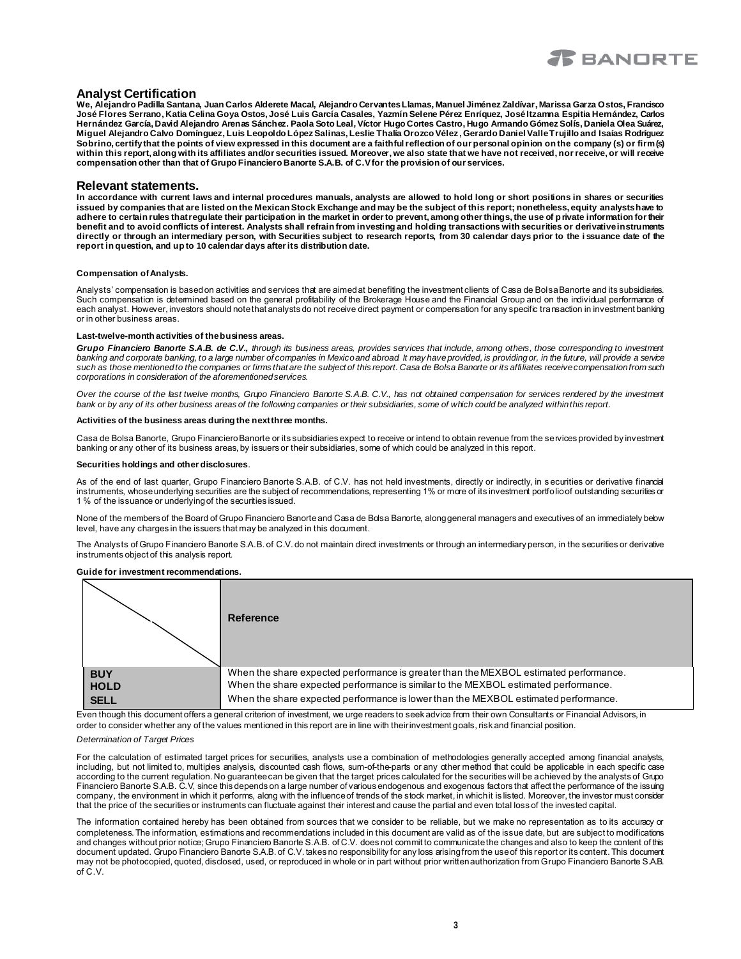

## **Analyst Certification**

**We, Alejandro Padilla Santana, Juan Carlos Alderete Macal, Alejandro Cervantes Llamas, Manuel Jiménez Zaldívar, Marissa Garza Ostos, Francisco José Flores Serrano, Katia Celina Goya Ostos, José Luis García Casales, Yazmín Selene Pérez Enríquez, José Itzamna Espitia Hernández, Carlos Hernández García, David Alejandro Arenas Sánchez. Paola Soto Leal, Víctor Hugo Cortes Castro, Hugo Armando Gómez Solís, Daniela Olea Suárez, Miguel Alejandro Calvo Domínguez, Luis Leopoldo López Salinas, Leslie Thalía Orozco Vélez , Gerardo Daniel Valle Trujillo and Isaías Rodríguez Sobrino, certify that the points of view expressed in this document are a faithful reflection of our personal opinion on the company (s) or firm (s)**  within this report, along with its affiliates and/or securities issued. Moreover, we also state that we have not received, nor receive, or will receive **compensation other than that of Grupo Financiero Banorte S.A.B. of C.V for the provision of our services.**

### **Relevant statements.**

**In accordance with current laws and internal procedures manuals, analysts are allowed to hold long or short positions in shares or securities issued by companies that are listed on the Mexican Stock Exchange and may be the subject of this report; nonetheless, equity analystshave to**  adhere to certain rules that regulate their participation in the market in order to prevent, among other things, the use of private information for their **benefit and to avoid conflicts of interest. Analysts shall refrain from investing and holding transactions with securities or derivative instruments directly or through an intermediary person, with Securities subject to research reports, from 30 calendar days prior to the i ssuance date of the report in question, and up to 10 calendar days after its distribution date.**

#### **Compensation of Analysts.**

Analysts' compensation is based on activities and services that are aimed at benefiting the investment clients of Casa de Bolsa Banorte and its subsidiaries. Such compensation is determined based on the general profitability of the Brokerage House and the Financial Group and on the individual performance of each analyst. However, investors should note that analysts do not receive direct payment or compensation for any specific transaction in investment banking or in other business areas.

#### **Last-twelve-month activities of the business areas.**

*Grupo Financiero Banorte S.A.B. de C.V., through its business areas, provides services that include, among others, those corresponding to investment banking and corporate banking, to a large number of companies in Mexico and abroad. It may have provided, is providing or, in the future, will provide a service such as those mentioned to the companies or firms that are the subject of this report. Casa de Bolsa Banorte or its affiliates receive compensation from such corporations in consideration of the aforementioned services.*

*Over the course of the last twelve months, Grupo Financiero Banorte S.A.B. C.V., has not obtained compensation for services rendered by the investment bank or by any of its other business areas of the following companies or their subsidiaries, some of which could be analyzed within this report.*

#### **Activities of the business areas during the next three months.**

Casa de Bolsa Banorte, Grupo Financiero Banorte or its subsidiaries expect to receive or intend to obtain revenue from the services provided by investment banking or any other of its business areas, by issuers or their subsidiaries, some of which could be analyzed in this report.

#### **Securities holdings and other disclosures**.

As of the end of last quarter, Grupo Financiero Banorte S.A.B. of C.V. has not held investments, directly or indirectly, in s ecurities or derivative financial instruments, whose underlying securities are the subject of recommendations, representing 1% or more of its investment portfolio of outstanding securities or 1 % of the issuance or underlying of the securities issued.

None of the members of the Board of Grupo Financiero Banorte and Casa de Bolsa Banorte, along general managers and executives of an immediately below level, have any charges in the issuers that may be analyzed in this document.

The Analysts of Grupo Financiero Banorte S.A.B. of C.V. do not maintain direct investments or through an intermediary person, in the securities or derivative instruments object of this analysis report.

### **Guide for investment recommendations.**



Even though this document offers a general criterion of investment, we urge readers to seek advice from their own Consultants or Financial Advisors, in order to consider whether any of the values mentioned in this report are in line with their investment goals, risk and financial position.

#### *Determination of Target Prices*

For the calculation of estimated target prices for securities, analysts use a combination of methodologies generally accepted among financial analysts, including, but not limited to, multiples analysis, discounted cash flows, sum-of-the-parts or any other method that could be applicable in each specific case according to the current regulation. No guarantee can be given that the target prices calculated for the securities will be achieved by the analysts of Grupo Financiero Banorte S.A.B. C.V, since this depends on a large number of various endogenous and exogenous factors that affect the performance of the issuing company, the environment in which it performs, along with the influence of trends of the stock market, in which it is listed. Moreover, the investor must consider that the price of the securities or instruments can fluctuate against their interest and cause the partial and even total loss of the invested capital.

The information contained hereby has been obtained from sources that we consider to be reliable, but we make no representation as to its accuracy or completeness. The information, estimations and recommendations included in this document are valid as of the issue date, but are subject to modifications and changes without prior notice; Grupo Financiero Banorte S.A.B. of C.V. does not commit to communicate the changes and also to keep the content of this document updated. Grupo Financiero Banorte S.A.B. of C.V. takes no responsibility for any loss arising from the use of this report or its content. This document may not be photocopied, quoted, disclosed, used, or reproduced in whole or in part without prior written authorization from Grupo Financiero Banorte S.A.B. of C.V.